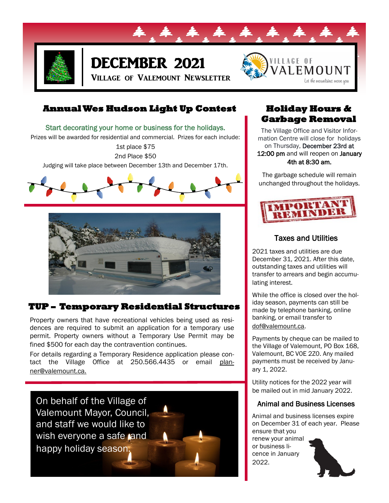

# DECEMBER 2021

Village of Valemount Newsletter



## **Annual Wes Hudson Light Up Contest**

Start decorating your home or business for the holidays.

Prizes will be awarded for residential and commercial. Prizes for each include:

1st place \$75 2nd Place \$50

Judging will take place between December 13th and December 17th.





# **TUP – Temporary Residential Structures**

Property owners that have recreational vehicles being used as residences are required to submit an application for a temporary use permit. Property owners without a Temporary Use Permit may be fined \$500 for each day the contravention continues.

For details regarding a Temporary Residence application please contact the Village Office at 250.566.4435 or email planner@valemount.ca.

On behalf of the Village of Valemount Mayor, Council, and staff we would like to wish everyone a safe and happy holiday season.

# **Holiday Hours & Garbage Removal**

The Village Office and Visitor Information Centre will close for holidays on Thursday, December 23rd at 12:00 pm and will reopen on January 4th at 8:30 am.

The garbage schedule will remain unchanged throughout the holidays.



## Taxes and Utilities

2021 taxes and utilities are due December 31, 2021. After this date, outstanding taxes and utilities will transfer to arrears and begin accumulating interest.

While the office is closed over the holiday season, payments can still be made by telephone banking, online banking, or email transfer to dof@valemount.ca.

Payments by cheque can be mailed to the Village of Valemount, PO Box 168, Valemount, BC V0E 2Z0. Any mailed payments must be received by January 1, 2022.

Utility notices for the 2022 year will be mailed out in mid January 2022.

#### Animal and Business Licenses

Animal and business licenses expire on December 31 of each year. Please ensure that you

renew your animal or business licence in January 2022.